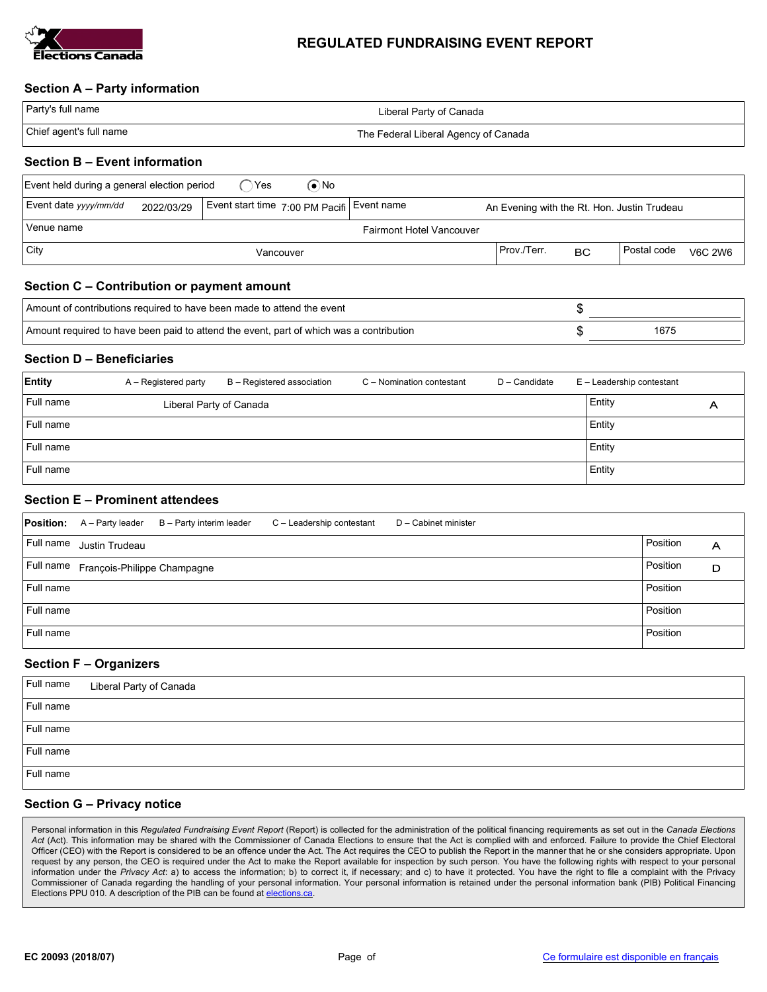

## REGULATED FUNDRAISING EVENT REPORT

## Section A – Party information

| Party's full name       | Liberal Party of Canada              |
|-------------------------|--------------------------------------|
| Chief agent's full name | The Federal Liberal Agency of Canada |

# Section B – Event information

| ົ`Yes<br>Event held during a general election period<br>(●`No                                                                    |  |  |           |  |             |           |             |                |
|----------------------------------------------------------------------------------------------------------------------------------|--|--|-----------|--|-------------|-----------|-------------|----------------|
| Event date yyyy/mm/dd<br>Event start time 7:00 PM Pacifi Event name<br>2022/03/29<br>An Evening with the Rt. Hon. Justin Trudeau |  |  |           |  |             |           |             |                |
| Venue name<br><b>Fairmont Hotel Vancouver</b>                                                                                    |  |  |           |  |             |           |             |                |
| $ $ City                                                                                                                         |  |  | Vancouver |  | Prov./Terr. | <b>BC</b> | Postal code | <b>V6C 2W6</b> |

# Section C – Contribution or payment amount

| Amount of contributions required to have been made to attend the event                  |      |
|-----------------------------------------------------------------------------------------|------|
| Amount required to have been paid to attend the event, part of which was a contribution | 1675 |

#### Section D – Beneficiaries

| Entity    | A – Registered party    | B - Registered association | C - Nomination contestant | D - Candidate | E - Leadership contestant |   |
|-----------|-------------------------|----------------------------|---------------------------|---------------|---------------------------|---|
| Full name | Liberal Party of Canada |                            |                           |               | Entity                    | Α |
| Full name |                         |                            |                           |               | Entity                    |   |
| Full name |                         |                            |                           |               | Entity                    |   |
| Full name |                         |                            |                           |               | Entity                    |   |

## Section E – Prominent attendees

|           | <b>Position:</b> A – Party leader     | B - Party interim leader | C - Leadership contestant | D - Cabinet minister |          |   |
|-----------|---------------------------------------|--------------------------|---------------------------|----------------------|----------|---|
| Full name | Justin Trudeau                        |                          |                           |                      | Position | A |
|           | Full name François-Philippe Champagne |                          |                           |                      | Position | D |
| Full name |                                       |                          |                           |                      | Position |   |
| Full name |                                       |                          |                           |                      | Position |   |
| Full name |                                       |                          |                           |                      | Position |   |

#### Section F – Organizers

| Full name | Liberal Party of Canada |
|-----------|-------------------------|
| Full name |                         |
| Full name |                         |
| Full name |                         |
| Full name |                         |

#### Section G – Privacy notice

Personal information in this Regulated Fundraising Event Report (Report) is collected for the administration of the political financing requirements as set out in the Canada Elections Act (Act). This information may be shared with the Commissioner of Canada Elections to ensure that the Act is complied with and enforced. Failure to provide the Chief Electoral Officer (CEO) with the Report is considered to be an offence under the Act. The Act requires the CEO to publish the Report in the manner that he or she considers appropriate. Upon request by any person, the CEO is required under the Act to make the Report available for inspection by such person. You have the following rights with respect to your personal information under the Privacy Act: a) to access the information; b) to correct it, if necessary; and c) to have it protected. You have the right to file a complaint with the Privacy Commissioner of Canada regarding the handling of your personal information. Your personal information is retained under the personal information bank (PIB) Political Financing Elections PPU 010. A description of the PIB can be found at elections.ca.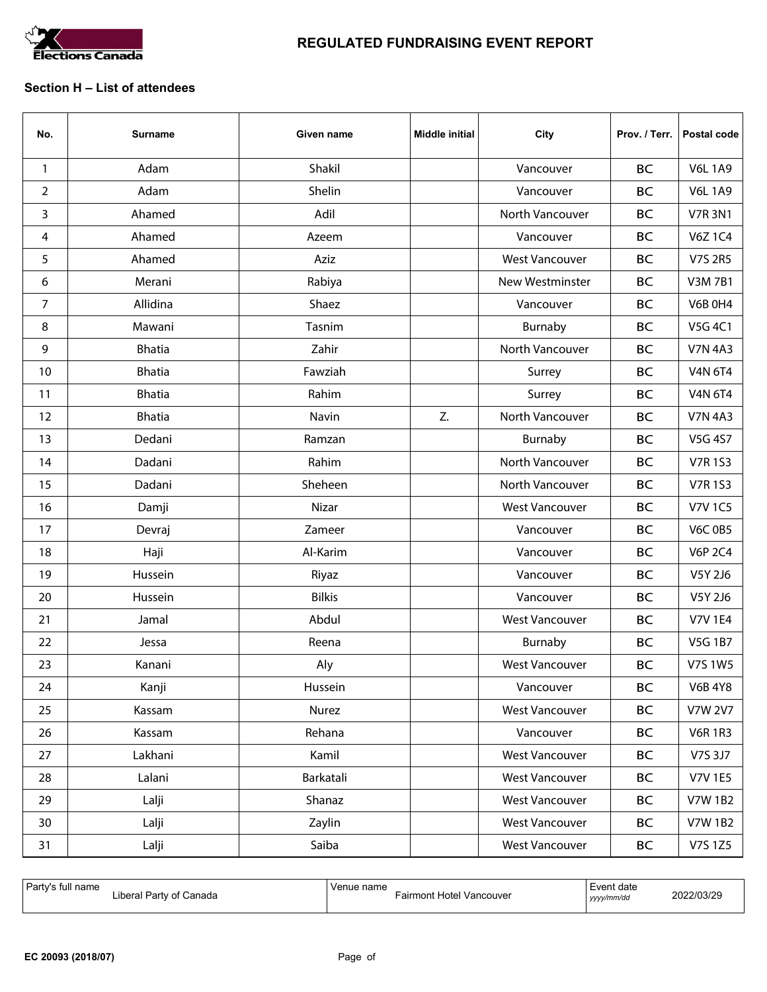

# REGULATED FUNDRAISING EVENT REPORT

## Section H – List of attendees

| No.            | <b>Surname</b> | Given name    | <b>Middle initial</b> | City                  | Prov. / Terr. | Postal code    |
|----------------|----------------|---------------|-----------------------|-----------------------|---------------|----------------|
| $\mathbf{1}$   | Adam           | Shakil        |                       | Vancouver             | <b>BC</b>     | <b>V6L1A9</b>  |
| $\overline{2}$ | Adam           | Shelin        |                       | Vancouver             | <b>BC</b>     | <b>V6L1A9</b>  |
| 3              | Ahamed         | Adil          |                       | North Vancouver       | <b>BC</b>     | <b>V7R 3N1</b> |
| 4              | Ahamed         | Azeem         |                       | Vancouver             | <b>BC</b>     | <b>V6Z1C4</b>  |
| 5              | Ahamed         | Aziz          |                       | <b>West Vancouver</b> | <b>BC</b>     | V7S 2R5        |
| 6              | Merani         | Rabiya        |                       | New Westminster       | <b>BC</b>     | <b>V3M7B1</b>  |
| 7              | Allidina       | Shaez         |                       | Vancouver             | <b>BC</b>     | <b>V6B 0H4</b> |
| 8              | Mawani         | Tasnim        |                       | Burnaby               | <b>BC</b>     | V5G 4C1        |
| 9              | <b>Bhatia</b>  | Zahir         |                       | North Vancouver       | <b>BC</b>     | <b>V7N 4A3</b> |
| 10             | <b>Bhatia</b>  | Fawziah       |                       | Surrey                | <b>BC</b>     | <b>V4N 6T4</b> |
| 11             | <b>Bhatia</b>  | Rahim         |                       | Surrey                | <b>BC</b>     | <b>V4N 6T4</b> |
| 12             | <b>Bhatia</b>  | Navin         | Z.                    | North Vancouver       | <b>BC</b>     | <b>V7N 4A3</b> |
| 13             | Dedani         | Ramzan        |                       | Burnaby               | <b>BC</b>     | V5G 4S7        |
| 14             | Dadani         | Rahim         |                       | North Vancouver       | <b>BC</b>     | <b>V7R1S3</b>  |
| 15             | Dadani         | Sheheen       |                       | North Vancouver       | <b>BC</b>     | <b>V7R1S3</b>  |
| 16             | Damji          | Nizar         |                       | <b>West Vancouver</b> | <b>BC</b>     | <b>V7V 1C5</b> |
| 17             | Devraj         | Zameer        |                       | Vancouver             | <b>BC</b>     | <b>V6C 0B5</b> |
| 18             | Haji           | Al-Karim      |                       | Vancouver             | <b>BC</b>     | <b>V6P 2C4</b> |
| 19             | Hussein        | Riyaz         |                       | Vancouver             | <b>BC</b>     | V5Y 2J6        |
| 20             | Hussein        | <b>Bilkis</b> |                       | Vancouver             | <b>BC</b>     | V5Y 2J6        |
| 21             | Jamal          | Abdul         |                       | <b>West Vancouver</b> | <b>BC</b>     | <b>V7V 1E4</b> |
| 22             | Jessa          | Reena         |                       | Burnaby               | <b>BC</b>     | <b>V5G 1B7</b> |
| 23             | Kanani         | Aly           |                       | <b>West Vancouver</b> | <b>BC</b>     | V7S 1W5        |
| 24             | Kanji          | Hussein       |                       | Vancouver             | <b>BC</b>     | <b>V6B 4Y8</b> |
| 25             | Kassam         | Nurez         |                       | <b>West Vancouver</b> | BC            | <b>V7W 2V7</b> |
| 26             | Kassam         | Rehana        |                       | Vancouver             | BC            | <b>V6R1R3</b>  |
| 27             | Lakhani        | Kamil         |                       | <b>West Vancouver</b> | BC            | V7S 3J7        |
| 28             | Lalani         | Barkatali     |                       | <b>West Vancouver</b> | BC            | <b>V7V 1E5</b> |
| 29             | Lalji          | Shanaz        |                       | <b>West Vancouver</b> | BC            | <b>V7W1B2</b>  |
| 30             | Lalji          | Zaylin        |                       | <b>West Vancouver</b> | BC            | <b>V7W1B2</b>  |
| 31             | Lalji          | Saiba         |                       | <b>West Vancouver</b> | BC            | V7S 1Z5        |

| Party's full name       | Venue name                      | Event date | 2022/03/29 |
|-------------------------|---------------------------------|------------|------------|
| Liberal Party of Canada | <b>Fairmont Hotel Vancouver</b> | yyyy/mm/dd |            |